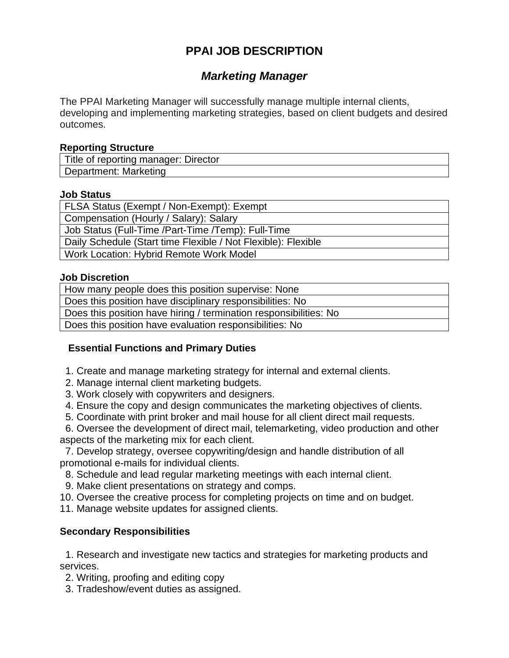# **PPAI JOB DESCRIPTION**

## *Marketing Manager*

The PPAI Marketing Manager will successfully manage multiple internal clients, developing and implementing marketing strategies, based on client budgets and desired outcomes.

## **Reporting Structure**

| Title of reporting manager: Director |  |
|--------------------------------------|--|
| Department: Marketing                |  |

#### **Job Status**

FLSA Status (Exempt / Non-Exempt): Exempt Compensation (Hourly / Salary): Salary Job Status (Full-Time /Part-Time /Temp): Full-Time Daily Schedule (Start time Flexible / Not Flexible): Flexible Work Location: Hybrid Remote Work Model

#### **Job Discretion**

How many people does this position supervise: None Does this position have disciplinary responsibilities: No Does this position have hiring / termination responsibilities: No Does this position have evaluation responsibilities: No

## **Essential Functions and Primary Duties**

- 1. Create and manage marketing strategy for internal and external clients.
- 2. Manage internal client marketing budgets.
- 3. Work closely with copywriters and designers.
- 4. Ensure the copy and design communicates the marketing objectives of clients.
- 5. Coordinate with print broker and mail house for all client direct mail requests.

 6. Oversee the development of direct mail, telemarketing, video production and other aspects of the marketing mix for each client.

 7. Develop strategy, oversee copywriting/design and handle distribution of all promotional e-mails for individual clients.

- 8. Schedule and lead regular marketing meetings with each internal client.
- 9. Make client presentations on strategy and comps.
- 10. Oversee the creative process for completing projects on time and on budget.
- 11. Manage website updates for assigned clients.

## **Secondary Responsibilities**

 1. Research and investigate new tactics and strategies for marketing products and services.

2. Writing, proofing and editing copy

3. Tradeshow/event duties as assigned.